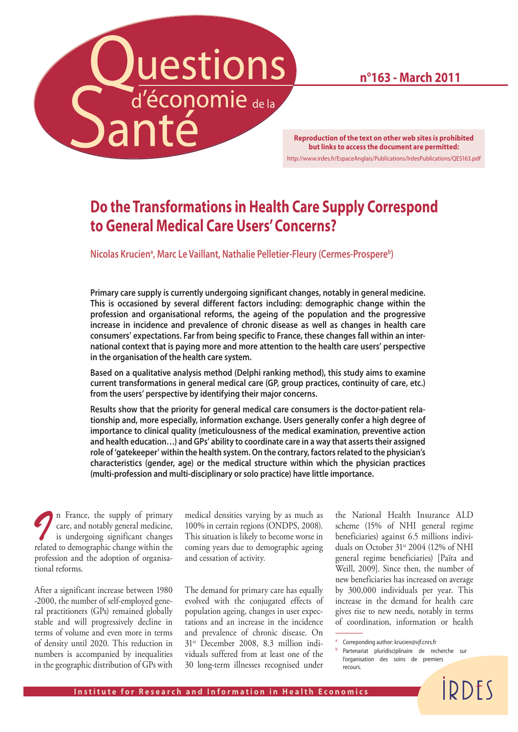# Luestions

**n°163 - March 2011**

**Reproduction of the text on other web sites is prohibited but links to access the document are permitted:** http://www.irdes.fr/EspaceAnglais/Publications/IrdesPublications/QES163.pdf

### **Do the Transformations in Health Care Supply Correspond to General Medical Care Users' Concerns?**

**Nicolas Kruciena , Marc Le Vaillant, Nathalie Pelletier-Fleury (Cermes-Prospereb)**

**Primary care supply is currently undergoing significant changes, notably in general medicine. This is occasioned by several different factors including: demographic change within the profession and organisational reforms, the ageing of the population and the progressive increase in incidence and prevalence of chronic disease as well as changes in health care consumers' expectations. Far from being specific to France, these changes fall within an international context that is paying more and more attention to the health care users' perspective in the organisation of the health care system.** 

**Based on a qualitative analysis method (Delphi ranking method), this study aims to examine current transformations in general medical care (GP, group practices, continuity of care, etc.) from the users' perspective by identifying their major concerns.** 

**Results show that the priority for general medical care consumers is the doctor-patient relationship and, more especially, information exchange. Users generally confer a high degree of importance to clinical quality (meticulousness of the medical examination, preventive action and health education…) and GPs' ability to coordinate care in a way that asserts their assigned role of 'gatekeeper' within the health system. On the contrary, factors related to the physician's characteristics (gender, age) or the medical structure within which the physician practices (multi-profession and multi-disciplinary or solo practice) have little importance.** 

*I* n France, the supply of primary care, and notably general medicine, is undergoing significant changes care, and notably general medicine, is undergoing significant changes related to demographic change within the profession and the adoption of organisational reforms.

After a significant increase between 1980 -2000, the number of self-employed general practitioners (GPs) remained globally stable and will progressively decline in terms of volume and even more in terms of density until 2020. This reduction in numbers is accompanied by inequalities in the geographic distribution of GPs with

medical densities varying by as much as 100% in certain regions (ONDPS, 2008). This situation is likely to become worse in coming years due to demographic ageing and cessation of activity.

The demand for primary care has equally evolved with the conjugated effects of population ageing, changes in user expectations and an increase in the incidence and prevalence of chronic disease. On 31st December 2008, 8.3 million individuals suffered from at least one of the 30 long-term illnesses recognised under the National Health Insurance ALD scheme (15% of NHI general regime beneficiaries) against 6.5 millions individuals on October 31st 2004 (12% of NHI general regime beneficiaries) [Païta and Weill, 2009]. Since then, the number of new beneficiaries has increased on average by 300,000 individuals per year. This increase in the demand for health care gives rise to new needs, notably in terms of coordination, information or health

**IDDFS** 

Correponding author: krucien@vjf.cnrs.fr

**b** Partenariat pluridisciplinaire de recherche sur l'organisation des soins de premiers recours.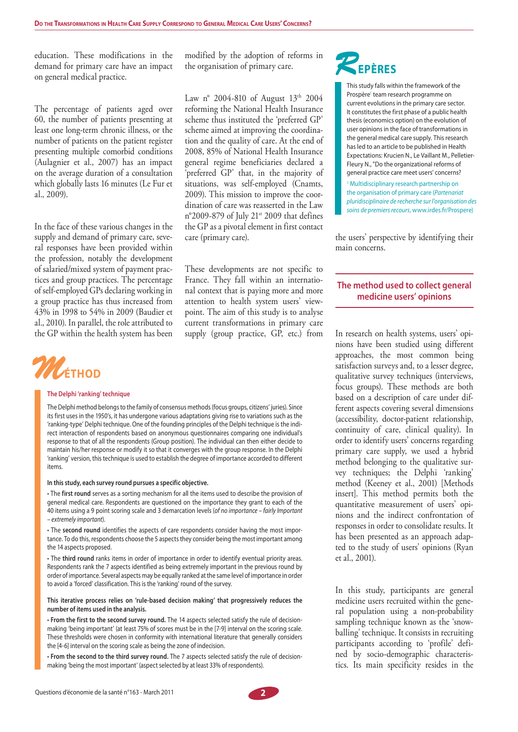education. These modifications in the demand for primary care have an impact on general medical practice.

The percentage of patients aged over 60, the number of patients presenting at least one long-term chronic illness, or the number of patients on the patient register presenting multiple comorbid conditions (Aulagnier et al., 2007) has an impact on the average duration of a consultation which globally lasts 16 minutes (Le Fur et al., 2009).

In the face of these various changes in the supply and demand of primary care, several responses have been provided within the profession, notably the development of salaried/mixed system of payment practices and group practices. The percentage of self-employed GPs declaring working in a group practice has thus increased from 43% in 1998 to 54% in 2009 (Baudier et al., 2010). In parallel, the role attributed to the GP within the health system has been



#### **The Delphi 'ranking' technique**

The Delphi method belongs to the family of consensus methods (focus groups, citizens' juries). Since its first uses in the 1950's, it has undergone various adaptations giving rise to variations such as the 'ranking-type' Delphi technique. One of the founding principles of the Delphi technique is the indirect interaction of respondents based on anonymous questionnaires comparing one individual's response to that of all the respondents (Group position). The individual can then either decide to maintain his/her response or modify it so that it converges with the group response. In the Delphi 'ranking' version, this technique is used to establish the degree of importance accorded to different items.

#### **In this study, each survey round pursues a specific objective.**

• The **first round** serves as a sorting mechanism for all the items used to describe the provision of general medical care. Respondents are questioned on the importance they grant to each of the 40 items using a 9 point scoring scale and 3 demarcation levels (*of no importance – fairly Important – extremely important*).

• The **second round** identifies the aspects of care respondents consider having the most importance. To do this, respondents choose the 5 aspects they consider being the most important among the 14 aspects proposed.

• The **third round** ranks items in order of importance in order to identify eventual priority areas. Respondents rank the 7 aspects identified as being extremely important in the previous round by order of importance. Several aspects may be equally ranked at the same level of importance in order to avoid a 'forced' classification. This is the 'ranking' round of the survey.

#### **This iterative process relies on 'rule-based decision making' that progressively reduces the number of items used in the analysis.**

• **From the first to the second survey round.** The 14 aspects selected satisfy the rule of decisionmaking 'being important' (at least 75% of scores must be in the [7-9] interval on the scoring scale. These thresholds were chosen in conformity with international literature that generally considers the [4-6] interval on the scoring scale as being the zone of indecision.

• **From the second to the third survey round.** The 7 aspects selected satisfy the rule of decisionmaking 'being the most important' (aspect selected by at least 33% of respondents).

modified by the adoption of reforms in the organisation of primary care.

Law n° 2004-810 of August 13th 2004 reforming the National Health Insurance scheme thus instituted the 'preferred GP' scheme aimed at improving the coordination and the quality of care. At the end of 2008, 85% of National Health Insurance general regime beneficiaries declared a 'preferred GP' that, in the majority of situations, was self-employed (Cnamts, 2009). This mission to improve the coordination of care was reasserted in the Law n°2009-879 of July 21st 2009 that defines the GP as a pivotal element in first contact care (primary care).

These developments are not specific to France. They fall within an international context that is paying more and more attention to health system users' viewpoint. The aim of this study is to analyse current transformations in primary care supply (group practice, GP, etc.) from

# *R***EPÈRES**

This study falls within the framework of the Prospère<sup>1</sup> team research programme on current evolutions in the primary care sector. It constitutes the first phase of a public health thesis (economics option) on the evolution of user opinions in the face of transformations in the general medical care supply. This research has led to an article to be published in Health Expectations: Krucien N., Le Vaillant M., Pelletier-Fleury N., "Do the organizational reforms of general practice care meet users' concerns?

1 Multidisciplinary research partnership on the organisation of primary care (*Partenariat pluridisciplinaire de recherche sur l'organisation des soins de premiers recours*, www.irdes.fr/Prospere)

the users' perspective by identifying their main concerns.

#### **The method used to collect general medicine users' opinions**

In research on health systems, users' opinions have been studied using different approaches, the most common being satisfaction surveys and, to a lesser degree, qualitative survey techniques (interviews, focus groups). These methods are both based on a description of care under different aspects covering several dimensions (accessibility, doctor-patient relationship, continuity of care, clinical quality). In order to identify users' concerns regarding primary care supply, we used a hybrid method belonging to the qualitative survey techniques; the Delphi 'ranking' method (Keeney et al., 2001) [Methods insert]. This method permits both the quantitative measurement of users' opinions and the indirect confrontation of responses in order to consolidate results. It has been presented as an approach adapted to the study of users' opinions (Ryan et al., 2001).

In this study, participants are general medicine users recruited within the general population using a non-probability sampling technique known as the 'snowballing' technique. It consists in recruiting participants according to 'profile' defined by socio-demographic characteristics. Its main specificity resides in the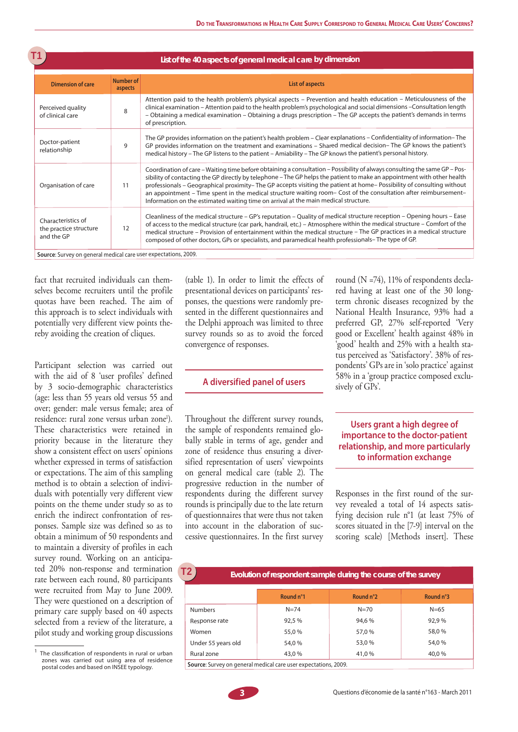| T1<br>List of the 40 aspects of general medical care by dimension |                      |                                                                                                                                                                                                                                                                                                                                                                                                                                                                                                                                                                                         |  |  |  |  |
|-------------------------------------------------------------------|----------------------|-----------------------------------------------------------------------------------------------------------------------------------------------------------------------------------------------------------------------------------------------------------------------------------------------------------------------------------------------------------------------------------------------------------------------------------------------------------------------------------------------------------------------------------------------------------------------------------------|--|--|--|--|
| <b>Dimension of care</b>                                          | Number of<br>aspects | List of aspects                                                                                                                                                                                                                                                                                                                                                                                                                                                                                                                                                                         |  |  |  |  |
| Perceived quality<br>of clinical care                             | 8                    | Attention paid to the health problem's physical aspects - Prevention and health education - Meticulousness of the<br>clinical examination - Attention paid to the health problem's psychological and social dimensions - Consultation length<br>- Obtaining a medical examination - Obtaining a drugs prescription - The GP accepts the patient's demands in terms<br>of prescription.                                                                                                                                                                                                  |  |  |  |  |
| Doctor-patient<br>relationship                                    | 9                    | The GP provides information on the patient's health problem – Clear explanations – Confidentiality of information–The<br>GP provides information on the treatment and examinations - Shared medical decision- The GP knows the patient's<br>medical history - The GP listens to the patient - Amiability - The GP knows the patient's personal history.                                                                                                                                                                                                                                 |  |  |  |  |
| Organisation of care                                              | 11                   | Coordination of care – Waiting time before obtaining a consultation – Possibility of always consulting the same GP – Pos-<br>sibility of contacting the GP directly by telephone - The GP helps the patient to make an appointment with other health<br>professionals - Geographical proximity-The GP accepts visiting the patient at home-Possibility of consulting without<br>an appointment – Time spent in the medical structure waiting room– Cost of the consultation after reimbursement–<br>Information on the estimated waiting time on arrival at the main medical structure. |  |  |  |  |
| Characteristics of<br>the practice structure<br>and the GP        | 12                   | Cleanliness of the medical structure - GP's reputation - Quality of medical structure reception - Opening hours - Ease<br>of access to the medical structure (car park, handrail, etc.) - Atmosphere within the medical structure - Comfort of the<br>medical structure - Provision of entertainment within the medical structure - The GP practices in a medical structure<br>composed of other doctors, GPs or specialists, and paramedical health professionals–The type of GP.                                                                                                      |  |  |  |  |
| Source: Survey on general medical care user expectations, 2009.   |                      |                                                                                                                                                                                                                                                                                                                                                                                                                                                                                                                                                                                         |  |  |  |  |

fact that recruited individuals can themselves become recruiters until the profile quotas have been reached. The aim of this approach is to select individuals with potentially very different view points thereby avoiding the creation of cliques.

Participant selection was carried out with the aid of 8 'user profiles' defined by 3 socio-demographic characteristics (age: less than 55 years old versus 55 and over; gender: male versus female; area of residence: rural zone versus urban zone<sup>1</sup>). These characteristics were retained in priority because in the literature they show a consistent effect on users' opinions whether expressed in terms of satisfaction or expectations. The aim of this sampling method is to obtain a selection of individuals with potentially very different view points on the theme under study so as to enrich the indirect confrontation of responses. Sample size was defined so as to obtain a minimum of 50 respondents and to maintain a diversity of profiles in each survey round. Working on an anticipated 20% non-response and termination rate between each round, 80 participants were recruited from May to June 2009. They were questioned on a description of primary care supply based on 40 aspects selected from a review of the literature, a pilot study and working group discussions

(table 1). In order to limit the effects of presentational devices on participants' responses, the questions were randomly presented in the different questionnaires and the Delphi approach was limited to three survey rounds so as to avoid the forced convergence of responses.

#### **A diversified panel of users**

Throughout the different survey rounds, the sample of respondents remained globally stable in terms of age, gender and zone of residence thus ensuring a diversified representation of users' viewpoints on general medical care (table 2). The progressive reduction in the number of respondents during the different survey rounds is principally due to the late return of questionnaires that were thus not taken into account in the elaboration of successive questionnaires. In the first survey

round (N =74), 11% of respondents declared having at least one of the 30 longterm chronic diseases recognized by the National Health Insurance, 93% had a preferred GP, 27% self-reported 'Very good or Excellent' health against 48% in 'good' health and 25% with a health status perceived as 'Satisfactory'. 38% of respondents' GPs are in 'solo practice' against 58% in a 'group practice composed exclusively of GPs'.

#### **Users grant a high degree of importance to the doctor-patient relationship, and more particularly to information exchange**

Responses in the first round of the survey revealed a total of 14 aspects satisfying decision rule n°1 (at least 75% of scores situated in the [7-9] interval on the scoring scale) [Methods insert]. These

| T2<br>Evolution of respondent sample during the course of the survey |                 |           |           |  |  |  |  |
|----------------------------------------------------------------------|-----------------|-----------|-----------|--|--|--|--|
|                                                                      | Round n°1       | Round n°2 | Round n°3 |  |  |  |  |
| <b>Numbers</b>                                                       | $N = 74$        | $N = 70$  | $N = 65$  |  |  |  |  |
| Response rate                                                        | 92,5 %          | 94.6%     | 92.9%     |  |  |  |  |
| Women                                                                | 55,0%           | 57.0 %    | 58,0%     |  |  |  |  |
| Under 55 years old                                                   | 54,0 %          | 53,0 %    | 54,0 %    |  |  |  |  |
| Rural zone                                                           | 43,0 %<br>41.0% |           | 40,0%     |  |  |  |  |
| Source: Survey on general medical care user expectations, 2009.      |                 |           |           |  |  |  |  |

 $1$  The classification of respondents in rural or urban zones was carried out using area of residence postal codes and based on INSEE typology.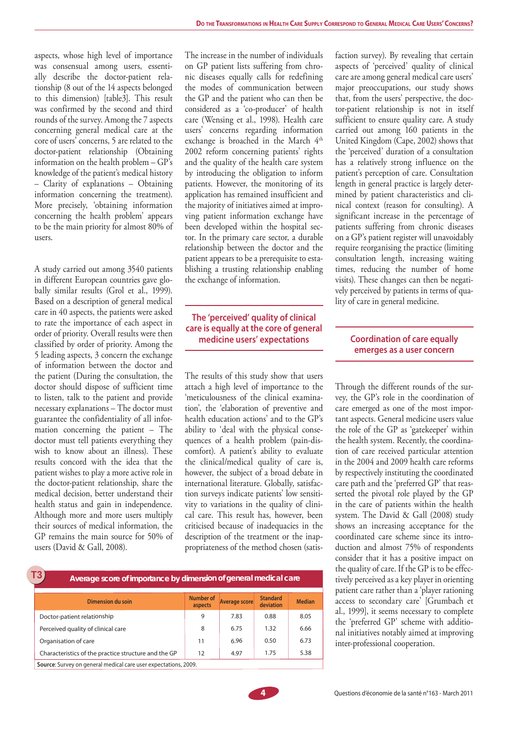aspects, whose high level of importance was consensual among users, essentially describe the doctor-patient relationship (8 out of the 14 aspects belonged to this dimension) [table3]. This result was confirmed by the second and third rounds of the survey. Among the 7 aspects concerning general medical care at the core of users' concerns, 5 are related to the doctor-patient relationship (Obtaining information on the health problem – GP's knowledge of the patient's medical history – Clarity of explanations – Obtaining information concerning the treatment). More precisely, 'obtaining information concerning the health problem' appears to be the main priority for almost 80% of users.

A study carried out among 3540 patients in different European countries gave globally similar results (Grol et al., 1999). Based on a description of general medical care in 40 aspects, the patients were asked to rate the importance of each aspect in order of priority. Overall results were then classified by order of priority. Among the 5 leading aspects, 3 concern the exchange of information between the doctor and the patient (During the consultation, the doctor should dispose of sufficient time to listen, talk to the patient and provide necessary explanations – The doctor must guarantee the confidentiality of all information concerning the patient – The doctor must tell patients everything they wish to know about an illness). These results concord with the idea that the patient wishes to play a more active role in the doctor-patient relationship, share the medical decision, better understand their health status and gain in independence. Although more and more users multiply their sources of medical information, the GP remains the main source for 50% of users (David & Gall, 2008).

The increase in the number of individuals on GP patient lists suffering from chronic diseases equally calls for redefining the modes of communication between the GP and the patient who can then be considered as a 'co-producer' of health care (Wensing et al., 1998). Health care users' concerns regarding information exchange is broached in the March 4<sup>th</sup> 2002 reform concerning patients' rights and the quality of the health care system by introducing the obligation to inform patients. However, the monitoring of its application has remained insufficient and the majority of initiatives aimed at improving patient information exchange have been developed within the hospital sector. In the primary care sector, a durable relationship between the doctor and the patient appears to be a prerequisite to establishing a trusting relationship enabling the exchange of information.

#### **The 'perceived' quality of clinical care is equally at the core of general medicine users' expectations**

The results of this study show that users attach a high level of importance to the 'meticulousness of the clinical examination', the 'elaboration of preventive and health education actions' and to the GP's ability to 'deal with the physical consequences of a health problem (pain-discomfort). A patient's ability to evaluate the clinical/medical quality of care is, however, the subject of a broad debate in international literature. Globally, satisfaction surveys indicate patients' low sensitivity to variations in the quality of clinical care. This result has, however, been criticised because of inadequacies in the description of the treatment or the inappropriateness of the method chosen (satis-

| T3<br>Average score of importance by dimension of general medical care |                      |               |                              |               |  |  |  |  |
|------------------------------------------------------------------------|----------------------|---------------|------------------------------|---------------|--|--|--|--|
| Dimension du soin                                                      | Number of<br>aspects | Average score | <b>Standard</b><br>deviation | <b>Median</b> |  |  |  |  |
| Doctor-patient relationship                                            | 9                    | 7.83          | 0.88                         | 8.05          |  |  |  |  |
| Perceived quality of clinical care                                     | 8                    | 6.75          | 1.32                         | 6.66          |  |  |  |  |
| Organisation of care                                                   | 11                   | 6.96          | 0.50                         | 6.73          |  |  |  |  |
| Characteristics of the practice structure and the GP                   | 12                   | 4.97          | 1.75                         | 5.38          |  |  |  |  |
| Source: Survey on general medical care user expectations, 2009.        |                      |               |                              |               |  |  |  |  |

faction survey). By revealing that certain aspects of 'perceived' quality of clinical care are among general medical care users' major preoccupations, our study shows that, from the users' perspective, the doctor-patient relationship is not in itself sufficient to ensure quality care. A study carried out among 160 patients in the United Kingdom (Cape, 2002) shows that the 'perceived' duration of a consultation has a relatively strong influence on the patient's perception of care. Consultation length in general practice is largely determined by patient characteristics and clinical context (reason for consulting). A significant increase in the percentage of patients suffering from chronic diseases on a GP's patient register will unavoidably require reorganising the practice (limiting consultation length, increasing waiting times, reducing the number of home visits). These changes can then be negatively perceived by patients in terms of quality of care in general medicine.

#### **Coordination of care equally emerges as a user concern**

Through the different rounds of the survey, the GP's role in the coordination of care emerged as one of the most important aspects. General medicine users value the role of the GP as 'gatekeeper' within the health system. Recently, the coordination of care received particular attention in the 2004 and 2009 health care reforms by respectively instituting the coordinated care path and the 'preferred GP' that reasserted the pivotal role played by the GP in the care of patients within the health system. The David & Gall (2008) study shows an increasing acceptance for the coordinated care scheme since its introduction and almost 75% of respondents consider that it has a positive impact on the quality of care. If the GP is to be effectively perceived as a key player in orienting patient care rather than a 'player rationing access to secondary care' [Grumbach et al., 1999], it seems necessary to complete the 'preferred GP' scheme with additional initiatives notably aimed at improving inter-professional cooperation.